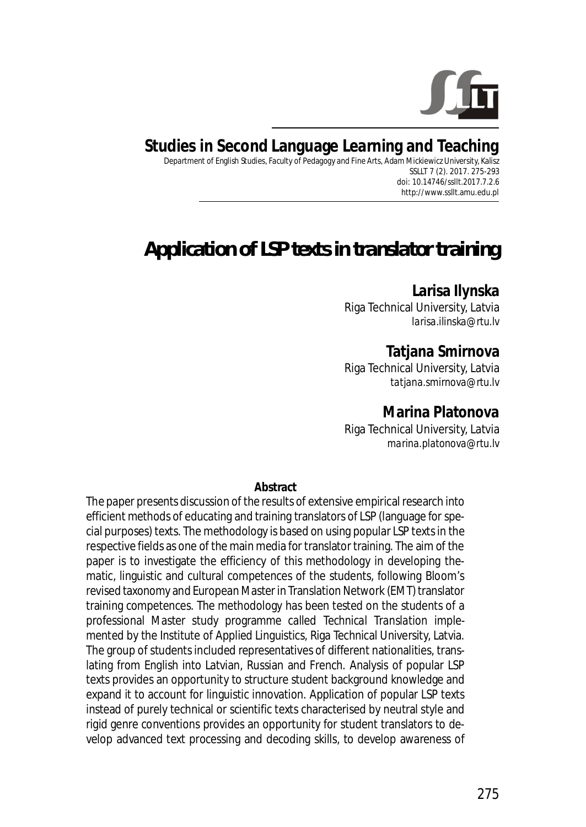

**Studies in Second Language Learning and Teaching** Department of English Studies, Faculty of Pedagogy and Fine Arts, Adam Mickiewicz University, Kalisz SSLLT 7 (2). 2017. 275-293

*doi: 10.14746/ssllt.2017.7.2.6* http://www.ssllt.amu.edu.pl

# *Application of LSP texts in translator training*

## **Larisa Ilynska**

Riga Technical University, Latvia *larisa.ilinska@rtu.lv*

### **Tatjana Smirnova**

Riga Technical University, Latvia *tatjana.smirnova@rtu.lv*

#### **Marina Platonova**

Riga Technical University, Latvia *marina.platonova@rtu.lv*

#### **Abstract**

The paper presents discussion of the results of extensive empirical research into efficient methods of educating and training translators of LSP (language for special purposes) texts. The methodology is based on using popular LSP texts in the respective fields as one of the main media for translator training. The aim of the paper is to investigate the efficiency of this methodology in developing thematic, linguistic and cultural competences of the students, following Bloom's revised taxonomy and European Master in Translation Network (EMT) translator training competences. The methodology has been tested on the students of a professional Master study programme called *Technical Translation* implemented by the Institute of Applied Linguistics, Riga Technical University, Latvia. The group of students included representatives of different nationalities, translating from English into Latvian, Russian and French. Analysis of popular LSP texts provides an opportunity to structure student background knowledge and expand it to account for linguistic innovation. Application of popular LSP texts instead of purely technical or scientific texts characterised by neutral style and rigid genre conventions provides an opportunity for student translators to develop advanced text processing and decoding skills, to develop awareness of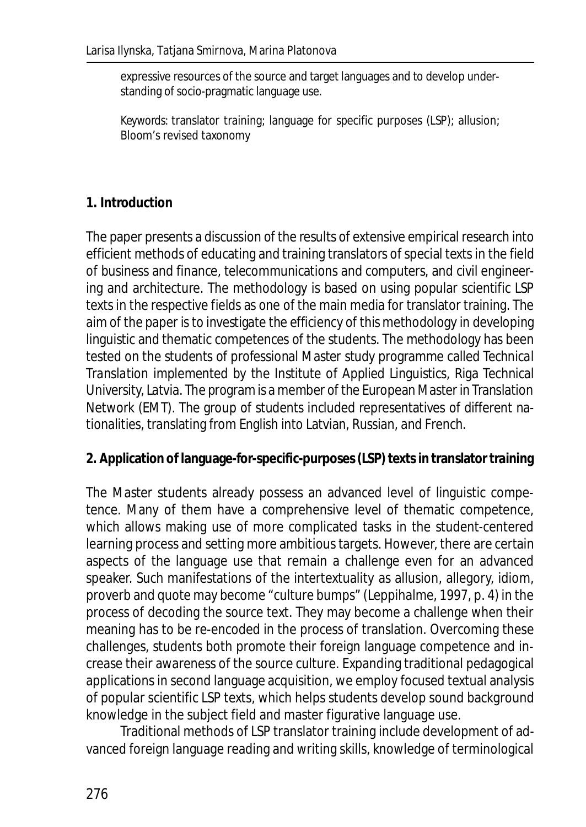expressive resources of the source and target languages and to develop understanding of socio-pragmatic language use.

*Keywords*: translator training; language for specific purposes (LSP); allusion; Bloom's revised taxonomy

## **1. Introduction**

The paper presents a discussion of the results of extensive empirical research into efficient methods of educating and training translators of special texts in the field of business and finance, telecommunications and computers, and civil engineering and architecture. The methodology is based on using popular scientific LSP texts in the respective fields as one of the main media for translator training. The aim of the paper is to investigate the efficiency of this methodology in developing linguistic and thematic competences of the students. The methodology has been tested on the students of professional Master study programme called *Technical Translation* implemented by the Institute of Applied Linguistics, Riga Technical University, Latvia. The program is a member of the European Master in Translation Network (EMT). The group of students included representatives of different nationalities, translating from English into Latvian, Russian, and French.

#### **2. Application of language-for-specific-purposes (LSP) texts in translator training**

The Master students already possess an advanced level of linguistic competence. Many of them have a comprehensive level of thematic competence, which allows making use of more complicated tasks in the student-centered learning process and setting more ambitious targets. However, there are certain aspects of the language use that remain a challenge even for an advanced speaker. Such manifestations of the intertextuality as allusion, allegory, idiom, proverb and quote may become "culture bumps" (Leppihalme, 1997, p. 4) in the process of decoding the source text. They may become a challenge when their meaning has to be re-encoded in the process of translation. Overcoming these challenges, students both promote their foreign language competence and increase their awareness of the source culture. Expanding traditional pedagogical applications in second language acquisition, we employ focused textual analysis of popular scientific LSP texts, which helps students develop sound background knowledge in the subject field and master figurative language use.

Traditional methods of LSP translator training include development of advanced foreign language reading and writing skills, knowledge of terminological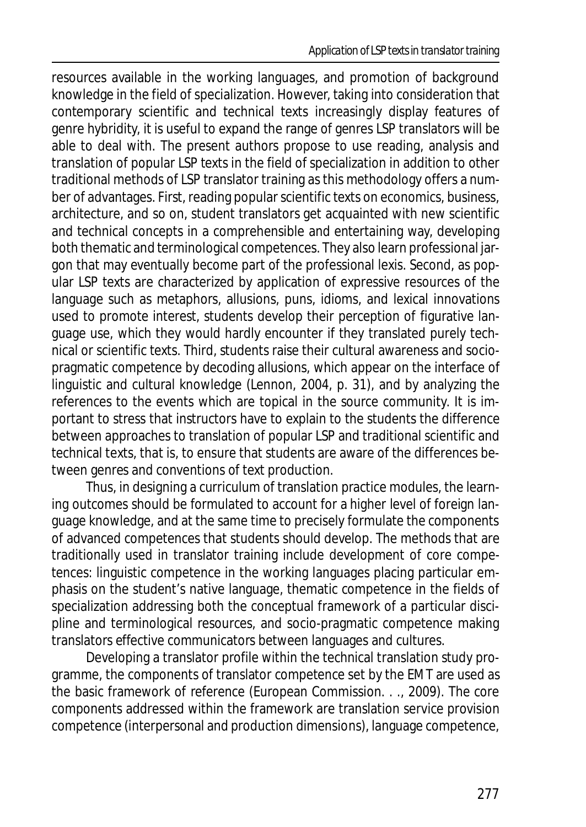resources available in the working languages, and promotion of background knowledge in the field of specialization. However, taking into consideration that contemporary scientific and technical texts increasingly display features of genre hybridity, it is useful to expand the range of genres LSP translators will be able to deal with. The present authors propose to use reading, analysis and translation of popular LSP texts in the field of specialization in addition to other traditional methods of LSP translator training as this methodology offers a number of advantages. First, reading popular scientific texts on economics, business, architecture, and so on, student translators get acquainted with new scientific and technical concepts in a comprehensible and entertaining way, developing both thematic and terminological competences. They also learn professional jargon that may eventually become part of the professional lexis. Second, as popular LSP texts are characterized by application of expressive resources of the language such as metaphors, allusions, puns, idioms, and lexical innovations used to promote interest, students develop their perception of figurative language use, which they would hardly encounter if they translated purely technical or scientific texts. Third, students raise their cultural awareness and sociopragmatic competence by decoding allusions, which appear on the interface of linguistic and cultural knowledge (Lennon, 2004, p. 31), and by analyzing the references to the events which are topical in the source community. It is important to stress that instructors have to explain to the students the difference between approaches to translation of popular LSP and traditional scientific and technical texts, that is, to ensure that students are aware of the differences between genres and conventions of text production.

Thus, in designing a curriculum of translation practice modules, the learning outcomes should be formulated to account for a higher level of foreign language knowledge, and at the same time to precisely formulate the components of advanced competences that students should develop. The methods that are traditionally used in translator training include development of core competences: linguistic competence in the working languages placing particular emphasis on the student's native language, thematic competence in the fields of specialization addressing both the conceptual framework of a particular discipline and terminological resources, and socio-pragmatic competence making translators effective communicators between languages and cultures.

Developing a translator profile within the technical translation study programme, the components of translator competence set by the EMT are used as the basic framework of reference (European Commission. . ., 2009). The core components addressed within the framework are translation service provision competence (interpersonal and production dimensions), language competence,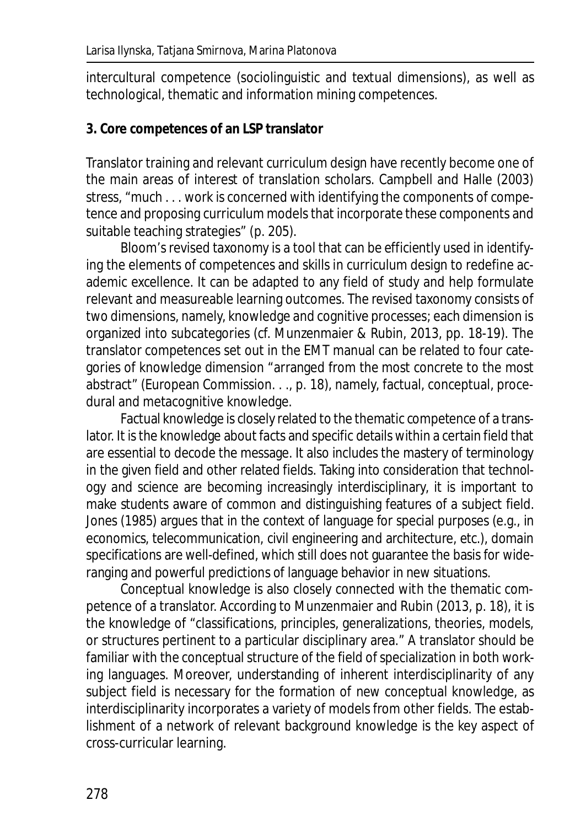intercultural competence (sociolinguistic and textual dimensions), as well as technological, thematic and information mining competences.

#### **3. Core competences of an LSP translator**

Translator training and relevant curriculum design have recently become one of the main areas of interest of translation scholars. Campbell and Halle (2003) stress, "much . . . work is concerned with identifying the components of competence and proposing curriculum models that incorporate these components and suitable teaching strategies" (p. 205).

Bloom's revised taxonomy is a tool that can be efficiently used in identifying the elements of competences and skills in curriculum design to redefine academic excellence. It can be adapted to any field of study and help formulate relevant and measureable learning outcomes. The revised taxonomy consists of two dimensions, namely, knowledge and cognitive processes; each dimension is organized into subcategories (cf. Munzenmaier & Rubin, 2013, pp. 18-19). The translator competences set out in the EMT manual can be related to four categories of knowledge dimension "arranged from the most concrete to the most abstract" (European Commission. . ., p. 18), namely, factual, conceptual, procedural and metacognitive knowledge.

Factual knowledge is closely related to the thematic competence of a translator. It is the knowledge about facts and specific details within a certain field that are essential to decode the message. It also includes the mastery of terminology in the given field and other related fields. Taking into consideration that technology and science are becoming increasingly interdisciplinary, it is important to make students aware of common and distinguishing features of a subject field. Jones (1985) argues that in the context of language for special purposes (e.g., in economics, telecommunication, civil engineering and architecture, etc.), domain specifications are well-defined, which still does not guarantee the basis for wideranging and powerful predictions of language behavior in new situations.

Conceptual knowledge is also closely connected with the thematic competence of a translator. According to Munzenmaier and Rubin (2013, p. 18), it is the knowledge of "classifications, principles, generalizations, theories, models, or structures pertinent to a particular disciplinary area." A translator should be familiar with the conceptual structure of the field of specialization in both working languages. Moreover, understanding of inherent interdisciplinarity of any subject field is necessary for the formation of new conceptual knowledge, as interdisciplinarity incorporates a variety of models from other fields. The establishment of a network of relevant background knowledge is the key aspect of cross-curricular learning.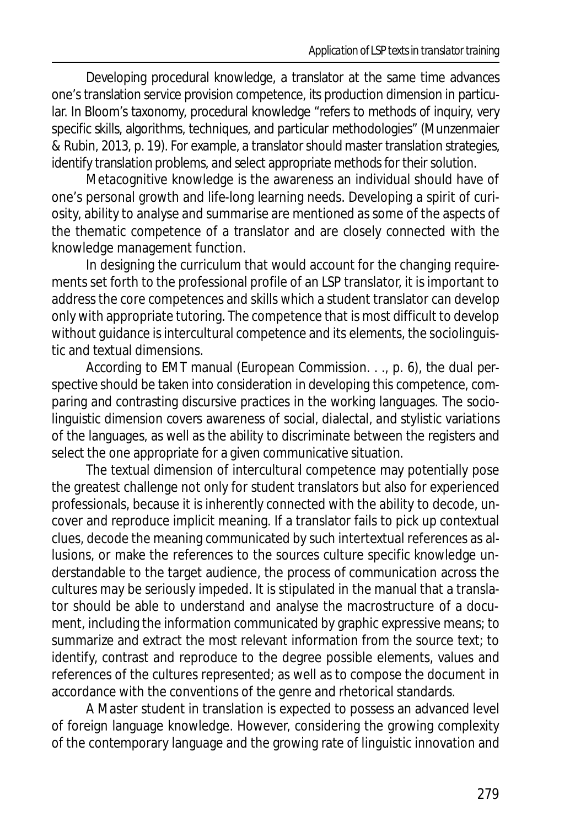Developing procedural knowledge, a translator at the same time advances one's translation service provision competence, its production dimension in particular. In Bloom's taxonomy, procedural knowledge "refers to methods of inquiry, very specific skills, algorithms, techniques, and particular methodologies" (Munzenmaier & Rubin, 2013, p. 19). For example, a translator should master translation strategies, identify translation problems, and select appropriate methods for their solution.

Metacognitive knowledge is the awareness an individual should have of one's personal growth and life-long learning needs. Developing a spirit of curiosity, ability to analyse and summarise are mentioned as some of the aspects of the thematic competence of a translator and are closely connected with the knowledge management function.

In designing the curriculum that would account for the changing requirements set forth to the professional profile of an LSP translator, it is important to address the core competences and skills which a student translator can develop only with appropriate tutoring. The competence that is most difficult to develop without guidance is intercultural competence and its elements, the sociolinguistic and textual dimensions.

According to EMT manual (European Commission. . ., p. 6), the dual perspective should be taken into consideration in developing this competence, comparing and contrasting discursive practices in the working languages. The sociolinguistic dimension covers awareness of social, dialectal, and stylistic variations of the languages, as well as the ability to discriminate between the registers and select the one appropriate for a given communicative situation.

The textual dimension of intercultural competence may potentially pose the greatest challenge not only for student translators but also for experienced professionals, because it is inherently connected with the ability to decode, uncover and reproduce implicit meaning. If a translator fails to pick up contextual clues, decode the meaning communicated by such intertextual references as allusions, or make the references to the sources culture specific knowledge understandable to the target audience, the process of communication across the cultures may be seriously impeded. It is stipulated in the manual that a translator should be able to understand and analyse the macrostructure of a document, including the information communicated by graphic expressive means; to summarize and extract the most relevant information from the source text; to identify, contrast and reproduce to the degree possible elements, values and references of the cultures represented; as well as to compose the document in accordance with the conventions of the genre and rhetorical standards.

A Master student in translation is expected to possess an advanced level of foreign language knowledge. However, considering the growing complexity of the contemporary language and the growing rate of linguistic innovation and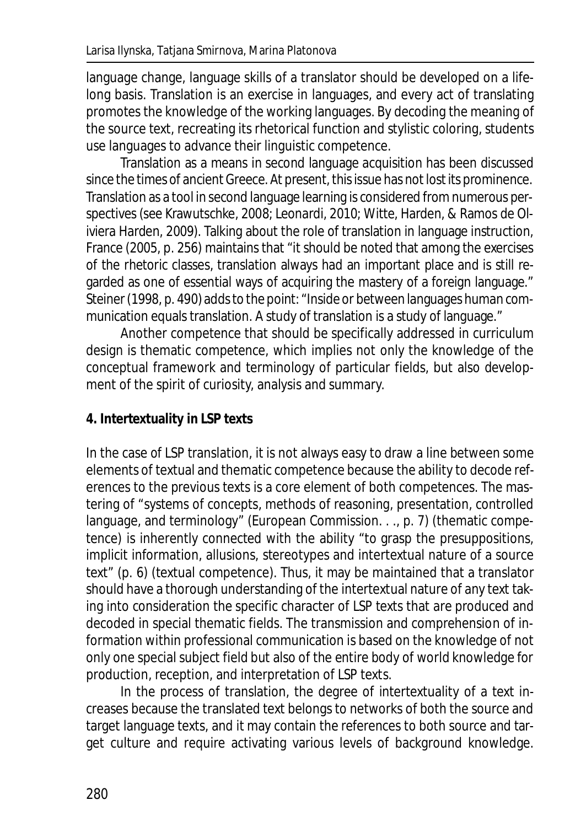language change, language skills of a translator should be developed on a lifelong basis. Translation is an exercise in languages, and every act of translating promotes the knowledge of the working languages. By decoding the meaning of the source text, recreating its rhetorical function and stylistic coloring, students use languages to advance their linguistic competence.

Translation as a means in second language acquisition has been discussed since the times of ancient Greece. At present, this issue has not lost its prominence. Translation as a tool in second language learning is considered from numerous perspectives (see Krawutschke, 2008; Leonardi, 2010; Witte, Harden, & Ramos de Oliviera Harden, 2009). Talking about the role of translation in language instruction, France (2005, p. 256) maintains that "it should be noted that among the exercises of the rhetoric classes, translation always had an important place and is still regarded as one of essential ways of acquiring the mastery of a foreign language." Steiner (1998, p. 490) adds to the point: "Inside or between languages human communication equals translation. A study of translation is a study of language."

Another competence that should be specifically addressed in curriculum design is thematic competence, which implies not only the knowledge of the conceptual framework and terminology of particular fields, but also development of the spirit of curiosity, analysis and summary.

#### **4. Intertextuality in LSP texts**

In the case of LSP translation, it is not always easy to draw a line between some elements of textual and thematic competence because the ability to decode references to the previous texts is a core element of both competences. The mastering of "systems of concepts, methods of reasoning, presentation, controlled language, and terminology" (European Commission. . ., p. 7) (thematic competence) is inherently connected with the ability "to grasp the presuppositions, implicit information, allusions, stereotypes and intertextual nature of a source text" (p. 6) (textual competence). Thus, it may be maintained that a translator should have a thorough understanding of the intertextual nature of any text taking into consideration the specific character of LSP texts that are produced and decoded in special thematic fields. The transmission and comprehension of information within professional communication is based on the knowledge of not only one special subject field but also of the entire body of world knowledge for production, reception, and interpretation of LSP texts.

In the process of translation, the degree of intertextuality of a text increases because the translated text belongs to networks of both the source and target language texts, and it may contain the references to both source and target culture and require activating various levels of background knowledge.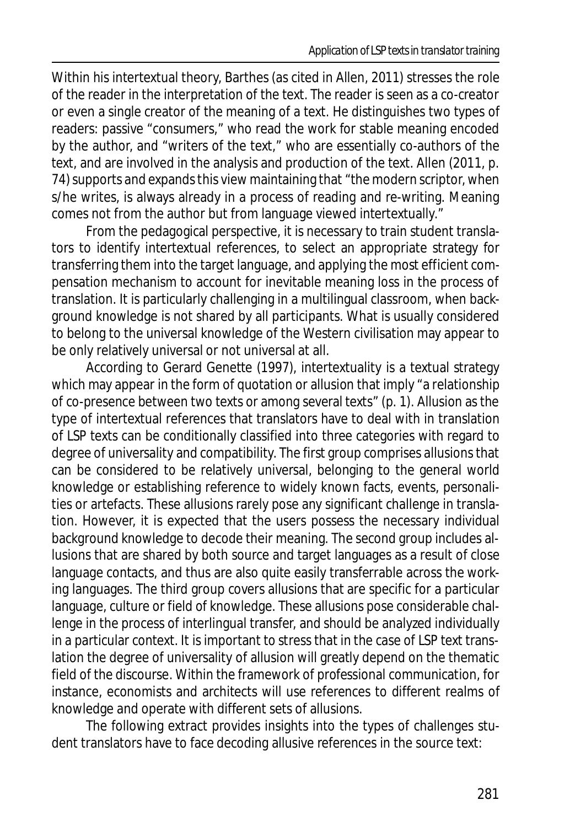Within his intertextual theory, Barthes (as cited in Allen, 2011) stresses the role of the reader in the interpretation of the text. The reader is seen as a co-creator or even a single creator of the meaning of a text. He distinguishes two types of readers: passive "consumers," who read the work for stable meaning encoded by the author, and "writers of the text," who are essentially co-authors of the text, and are involved in the analysis and production of the text. Allen (2011, p. 74) supports and expands this view maintaining that "the modern scriptor, when s/he writes, is always already in a process of reading and re-writing. Meaning comes not from the author but from language viewed intertextually."

From the pedagogical perspective, it is necessary to train student translators to identify intertextual references, to select an appropriate strategy for transferring them into the target language, and applying the most efficient compensation mechanism to account for inevitable meaning loss in the process of translation. It is particularly challenging in a multilingual classroom, when background knowledge is not shared by all participants. What is usually considered to belong to the universal knowledge of the Western civilisation may appear to be only relatively universal or not universal at all.

According to Gerard Genette (1997), intertextuality is a textual strategy which may appear in the form of quotation or allusion that imply "a relationship of co-presence between two texts or among several texts" (p. 1). Allusion as the type of intertextual references that translators have to deal with in translation of LSP texts can be conditionally classified into three categories with regard to degree of universality and compatibility. The first group comprises allusions that can be considered to be relatively universal, belonging to the general world knowledge or establishing reference to widely known facts, events, personalities or artefacts. These allusions rarely pose any significant challenge in translation. However, it is expected that the users possess the necessary individual background knowledge to decode their meaning. The second group includes allusions that are shared by both source and target languages as a result of close language contacts, and thus are also quite easily transferrable across the working languages. The third group covers allusions that are specific for a particular language, culture or field of knowledge. These allusions pose considerable challenge in the process of interlingual transfer, and should be analyzed individually in a particular context. It is important to stress that in the case of LSP text translation the degree of universality of allusion will greatly depend on the thematic field of the discourse. Within the framework of professional communication, for instance, economists and architects will use references to different realms of knowledge and operate with different sets of allusions.

The following extract provides insights into the types of challenges student translators have to face decoding allusive references in the source text: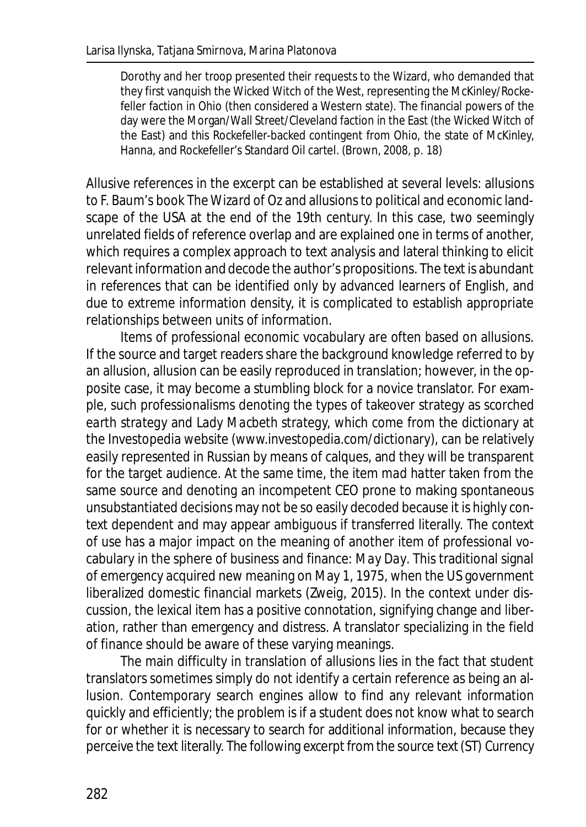Dorothy and her troop presented their requests to the Wizard, who demanded that they first vanquish the Wicked Witch of the West, representing the McKinley/Rockefeller faction in Ohio (then considered a Western state). The financial powers of the day were the Morgan/Wall Street/Cleveland faction in the East (the Wicked Witch of the East) and this Rockefeller-backed contingent from Ohio, the state of McKinley, Hanna, and Rockefeller's Standard Oil cartel. (Brown, 2008, p. 18)

Allusive references in the excerpt can be established at several levels: allusions to F. Baum's book *The Wizard of Oz* and allusions to political and economic landscape of the USA at the end of the 19th century. In this case, two seemingly unrelated fields of reference overlap and are explained one in terms of another, which requires a complex approach to text analysis and lateral thinking to elicit relevant information and decode the author's propositions. The text is abundant in references that can be identified only by advanced learners of English, and due to extreme information density, it is complicated to establish appropriate relationships between units of information.

Items of professional economic vocabulary are often based on allusions. If the source and target readers share the background knowledge referred to by an allusion, allusion can be easily reproduced in translation; however, in the opposite case, it may become a stumbling block for a novice translator. For example, such professionalisms denoting the types of takeover strategy as *scorched earth strategy* and *Lady Macbeth strategy,* which come from the dictionary at the Investopedia website (www.investopedia.com/dictionary), can be relatively easily represented in Russian by means of calques, and they will be transparent for the target audience. At the same time, the item *mad hatter* taken from the same source and denoting an incompetent CEO prone to making spontaneous unsubstantiated decisions may not be so easily decoded because it is highly context dependent and may appear ambiguous if transferred literally. The context of use has a major impact on the meaning of another item of professional vocabulary in the sphere of business and finance: *May Day*. This traditional signal of emergency acquired new meaning on May 1, 1975, when the US government liberalized domestic financial markets (Zweig, 2015). In the context under discussion, the lexical item has a positive connotation, signifying change and liberation, rather than emergency and distress. A translator specializing in the field of finance should be aware of these varying meanings.

The main difficulty in translation of allusions lies in the fact that student translators sometimes simply do not identify a certain reference as being an allusion. Contemporary search engines allow to find any relevant information quickly and efficiently; the problem is if a student does not know what to search for or whether it is necessary to search for additional information, because they perceive the text literally. The following excerpt from the source text (ST) *Currency*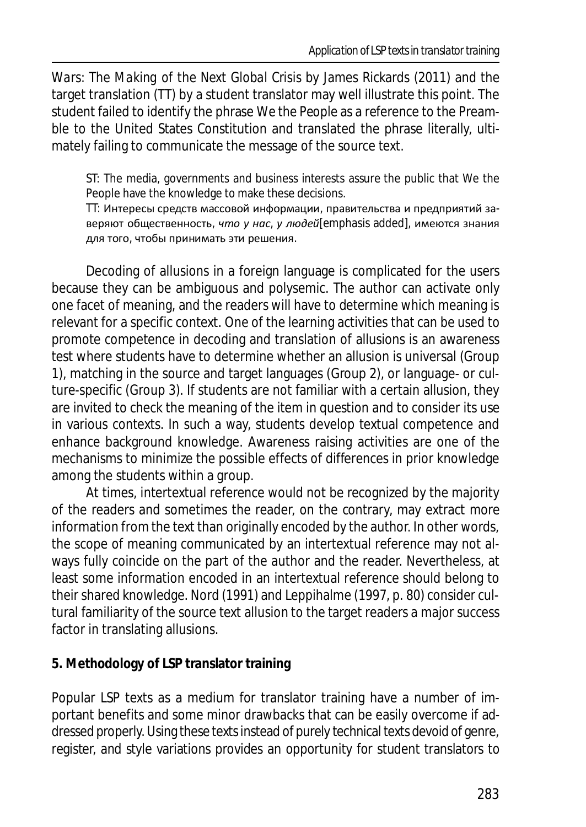*Wars: The Making of the Next Global Crisis* by James Rickards (2011) and the target translation (TT) by a student translator may well illustrate this point. The student failed to identify the phrase *We the People* as a reference to the Preamble to the United States Constitution and translated the phrase literally, ultimately failing to communicate the message of the source text.

ST: The media, governments and business interests assure the public that We the People have the knowledge to make these decisions.

TT: Интересы средств массовой информации, правительства и предприятий заверяют общественность, *что у нас, у людей*[emphasis added], имеются знания для того, чтобы принимать эти решения.

Decoding of allusions in a foreign language is complicated for the users because they can be ambiguous and polysemic. The author can activate only one facet of meaning, and the readers will have to determine which meaning is relevant for a specific context. One of the learning activities that can be used to promote competence in decoding and translation of allusions is an awareness test where students have to determine whether an allusion is universal (Group 1), matching in the source and target languages (Group 2), or language- or culture-specific (Group 3). If students are not familiar with a certain allusion, they are invited to check the meaning of the item in question and to consider its use in various contexts. In such a way, students develop textual competence and enhance background knowledge. Awareness raising activities are one of the mechanisms to minimize the possible effects of differences in prior knowledge among the students within a group.

At times, intertextual reference would not be recognized by the majority of the readers and sometimes the reader, on the contrary, may extract more information from the text than originally encoded by the author. In other words, the scope of meaning communicated by an intertextual reference may not always fully coincide on the part of the author and the reader. Nevertheless, at least some information encoded in an intertextual reference should belong to their shared knowledge. Nord (1991) and Leppihalme (1997, p. 80) consider cultural familiarity of the source text allusion to the target readers a major success factor in translating allusions.

#### **5. Methodology of LSP translator training**

Popular LSP texts as a medium for translator training have a number of important benefits and some minor drawbacks that can be easily overcome if addressed properly. Using these texts instead of purely technical texts devoid of genre, register, and style variations provides an opportunity for student translators to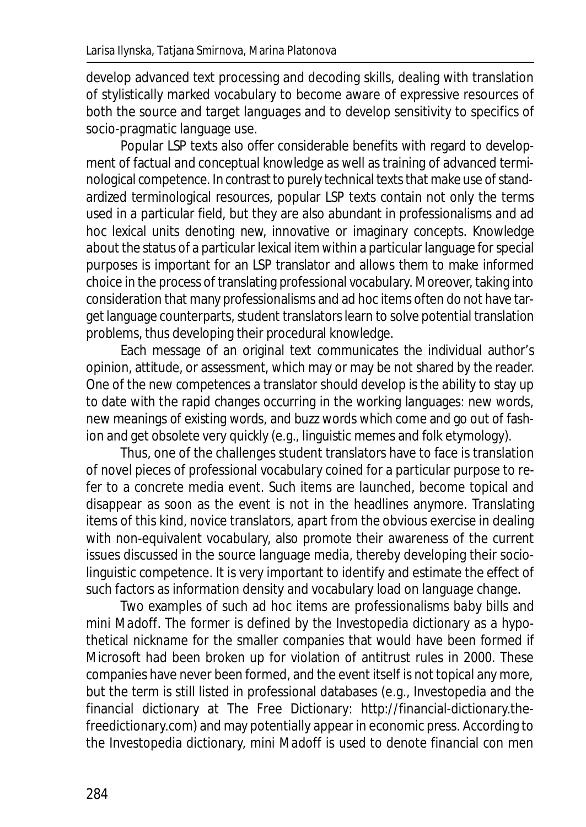develop advanced text processing and decoding skills, dealing with translation of stylistically marked vocabulary to become aware of expressive resources of both the source and target languages and to develop sensitivity to specifics of socio-pragmatic language use.

Popular LSP texts also offer considerable benefits with regard to development of factual and conceptual knowledge as well as training of advanced terminological competence. In contrast to purely technical texts that make use of standardized terminological resources, popular LSP texts contain not only the terms used in a particular field, but they are also abundant in professionalisms and ad hoc lexical units denoting new, innovative or imaginary concepts. Knowledge about the status of a particular lexical item within a particular language for special purposes is important for an LSP translator and allows them to make informed choice in the process of translating professional vocabulary. Moreover, taking into consideration that many professionalisms and ad hoc items often do not have target language counterparts, student translators learn to solve potential translation problems, thus developing their procedural knowledge.

Each message of an original text communicates the individual author's opinion, attitude, or assessment, which may or may be not shared by the reader. One of the new competences a translator should develop is the ability to stay up to date with the rapid changes occurring in the working languages: new words, new meanings of existing words, and buzz words which come and go out of fashion and get obsolete very quickly (e.g., linguistic memes and folk etymology).

Thus, one of the challenges student translators have to face is translation of novel pieces of professional vocabulary coined for a particular purpose to refer to a concrete media event. Such items are launched, become topical and disappear as soon as the event is not in the headlines anymore. Translating items of this kind, novice translators, apart from the obvious exercise in dealing with non-equivalent vocabulary, also promote their awareness of the current issues discussed in the source language media, thereby developing their sociolinguistic competence. It is very important to identify and estimate the effect of such factors as information density and vocabulary load on language change.

Two examples of such ad hoc items are professionalisms *baby bills* and *mini Madoff*. The former is defined by the Investopedia dictionary as a hypothetical nickname for the smaller companies that would have been formed if Microsoft had been broken up for violation of antitrust rules in 2000. These companies have never been formed, and the event itself is not topical any more, but the term is still listed in professional databases (e.g., Investopedia and the financial dictionary at The Free Dictionary: http://financial-dictionary.thefreedictionary.com) and may potentially appear in economic press. According to the Investopedia dictionary, *mini Madoff* is used to denote financial con men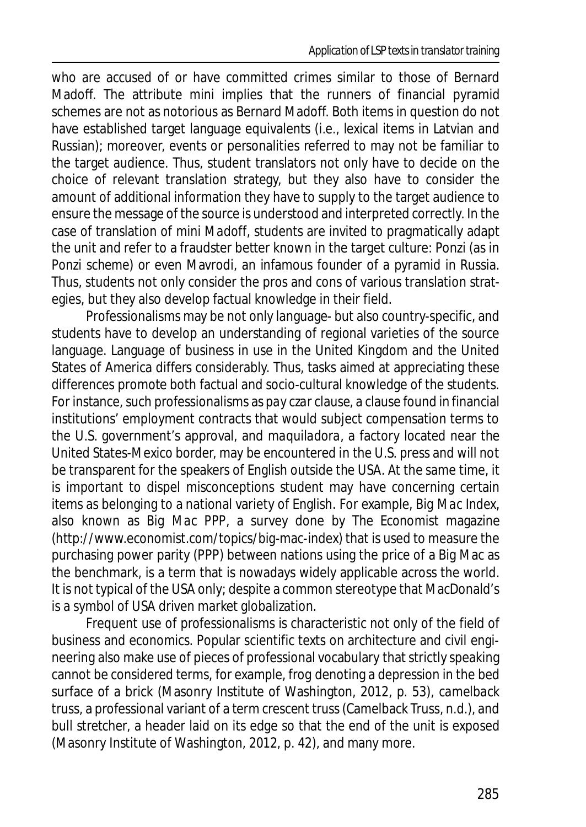who are accused of or have committed crimes similar to those of Bernard Madoff. The attribute *mini* implies that the runners of financial pyramid schemes are not as notorious as Bernard Madoff. Both items in question do not have established target language equivalents (i.e., lexical items in Latvian and Russian); moreover, events or personalities referred to may not be familiar to the target audience. Thus, student translators not only have to decide on the choice of relevant translation strategy, but they also have to consider the amount of additional information they have to supply to the target audience to ensure the message of the source is understood and interpreted correctly. In the case of translation of *mini Madoff*, students are invited to pragmatically adapt the unit and refer to a fraudster better known in the target culture: Ponzi (as in *Ponzi scheme*) or even Mavrodi, an infamous founder of a pyramid in Russia. Thus, students not only consider the pros and cons of various translation strategies, but they also develop factual knowledge in their field.

Professionalisms may be not only language- but also country-specific, and students have to develop an understanding of regional varieties of the source language. Language of business in use in the United Kingdom and the United States of America differs considerably. Thus, tasks aimed at appreciating these differences promote both factual and socio-cultural knowledge of the students. For instance, such professionalisms as *pay czar clause*, a clause found in financial institutions' employment contracts that would subject compensation terms to the U.S. government's approval, and *maquiladora*, a factory located near the United States-Mexico border, may be encountered in the U.S. press and will not be transparent for the speakers of English outside the USA. At the same time, it is important to dispel misconceptions student may have concerning certain items as belonging to a national variety of English. For example, *Big Mac Index*, also known as *Big Mac PPP*, a survey done by *The Economist* magazine (http://www.economist.com/topics/big-mac-index) that is used to measure the purchasing power parity (PPP) between nations using the price of a Big Mac as the benchmark, is a term that is nowadays widely applicable across the world. It is not typical of the USA only; despite a common stereotype that MacDonald's is a symbol of USA driven market globalization.

Frequent use of professionalisms is characteristic not only of the field of business and economics. Popular scientific texts on architecture and civil engineering also make use of pieces of professional vocabulary that strictly speaking cannot be considered terms, for example, *frog* denoting a depression in the bed surface of a brick (Masonry Institute of Washington, 2012, p. 53), *camelback truss*, a professional variant of a term *crescent truss* (Camelback Truss, n.d.), and *bull stretcher*, a header laid on its edge so that the end of the unit is exposed (Masonry Institute of Washington, 2012, p. 42), and many more.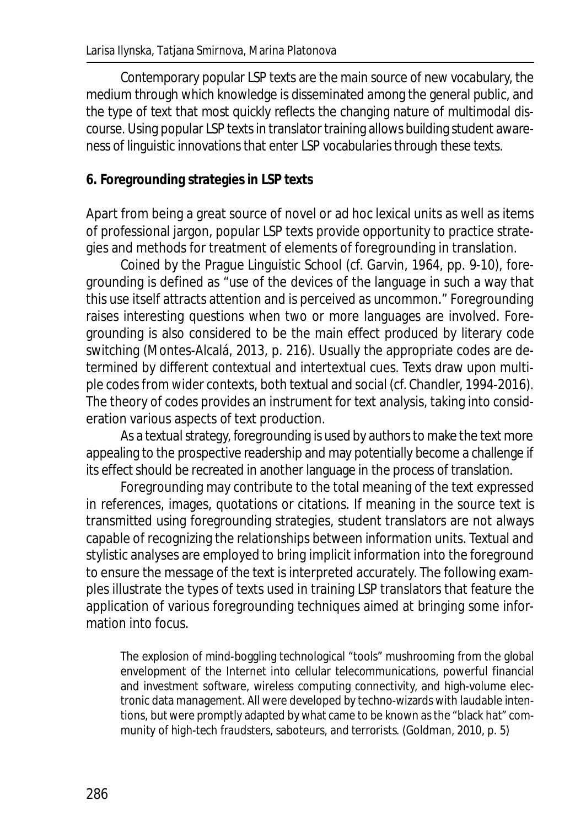Contemporary popular LSP texts are the main source of new vocabulary, the medium through which knowledge is disseminated among the general public, and the type of text that most quickly reflects the changing nature of multimodal discourse. Using popular LSP texts in translator training allows building student awareness of linguistic innovations that enter LSP vocabularies through these texts.

#### **6. Foregrounding strategies in LSP texts**

Apart from being a great source of novel or ad hoc lexical units as well as items of professional jargon, popular LSP texts provide opportunity to practice strategies and methods for treatment of elements of foregrounding in translation.

Coined by the Prague Linguistic School (cf. Garvin, 1964, pp. 9-10), foregrounding is defined as "use of the devices of the language in such a way that this use itself attracts attention and is perceived as uncommon." Foregrounding raises interesting questions when two or more languages are involved. Foregrounding is also considered to be the main effect produced by literary code switching (Montes-Alcalá, 2013, p. 216). Usually the appropriate codes are determined by different contextual and intertextual cues. Texts draw upon multiple codes from wider contexts, both textual and social (cf. Chandler, 1994-2016). The theory of codes provides an instrument for text analysis, taking into consideration various aspects of text production.

As a textual strategy, foregrounding is used by authors to make the text more appealing to the prospective readership and may potentially become a challenge if its effect should be recreated in another language in the process of translation.

Foregrounding may contribute to the total meaning of the text expressed in references, images, quotations or citations. If meaning in the source text is transmitted using foregrounding strategies, student translators are not always capable of recognizing the relationships between information units. Textual and stylistic analyses are employed to bring implicit information into the foreground to ensure the message of the text is interpreted accurately. The following examples illustrate the types of texts used in training LSP translators that feature the application of various foregrounding techniques aimed at bringing some information into focus.

The explosion of mind-boggling technological "tools" mushrooming from the global envelopment of the Internet into cellular telecommunications, powerful financial and investment software, wireless computing connectivity, and high-volume electronic data management. All were developed by techno-wizards with laudable intentions, but were promptly adapted by what came to be known as the "black hat" community of high-tech fraudsters, saboteurs, and terrorists. (Goldman, 2010, p. 5)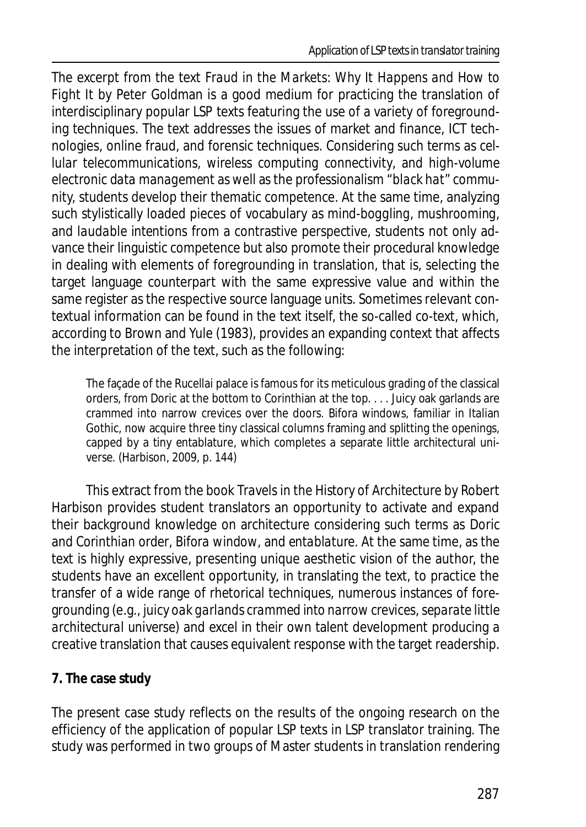The excerpt from the text *Fraud in the Markets: Why It Happens and How to Fight It* by Peter Goldman is a good medium for practicing the translation of interdisciplinary popular LSP texts featuring the use of a variety of foregrounding techniques. The text addresses the issues of market and finance, ICT technologies, online fraud, and forensic techniques. Considering such terms as *cellular telecommunications*, *wireless computing connectivity*, and *high-volume electronic data management* as well as the professionalism "*black hat" community,* students develop their thematic competence. At the same time, analyzing such stylistically loaded pieces of vocabulary as *mind-boggling*, *mushrooming*, and *laudable intentions* from a contrastive perspective, students not only advance their linguistic competence but also promote their procedural knowledge in dealing with elements of foregrounding in translation, that is, selecting the target language counterpart with the same expressive value and within the same register as the respective source language units. Sometimes relevant contextual information can be found in the text itself, the so-called co-text, which, according to Brown and Yule (1983), provides an expanding context that affects the interpretation of the text, such as the following:

The façade of the Rucellai palace is famous for its meticulous grading of the classical orders, from Doric at the bottom to Corinthian at the top. . . . Juicy oak garlands are crammed into narrow crevices over the doors. Bifora windows, familiar in Italian Gothic, now acquire three tiny classical columns framing and splitting the openings, capped by a tiny entablature, which completes a separate little architectural universe. (Harbison, 2009, p. 144)

This extract from the book *Travels in the History of Architecture* by Robert Harbison provides student translators an opportunity to activate and expand their background knowledge on architecture considering such terms as *Doric* and *Corinthian order*, *Bifora window*, and *entablature*. At the same time, as the text is highly expressive, presenting unique aesthetic vision of the author, the students have an excellent opportunity, in translating the text, to practice the transfer of a wide range of rhetorical techniques, numerous instances of foregrounding (e.g., *juicy oak garlands crammed into narrow crevices*,*separate little architectural universe*) and excel in their own talent development producing a creative translation that causes equivalent response with the target readership.

## **7. The case study**

The present case study reflects on the results of the ongoing research on the efficiency of the application of popular LSP texts in LSP translator training. The study was performed in two groups of Master students in translation rendering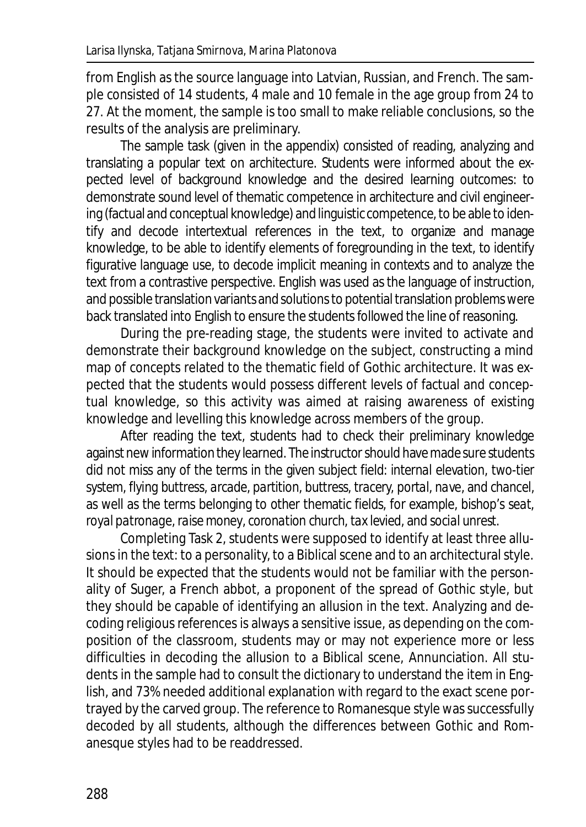from English as the source language into Latvian, Russian, and French. The sample consisted of 14 students, 4 male and 10 female in the age group from 24 to 27. At the moment, the sample is too small to make reliable conclusions, so the results of the analysis are preliminary.

The sample task (given in the appendix) consisted of reading, analyzing and translating a popular text on architecture. Students were informed about the expected level of background knowledge and the desired learning outcomes: to demonstrate sound level of thematic competence in architecture and civil engineering (factual and conceptual knowledge) and linguistic competence, to be able to identify and decode intertextual references in the text, to organize and manage knowledge, to be able to identify elements of foregrounding in the text, to identify figurative language use, to decode implicit meaning in contexts and to analyze the text from a contrastive perspective. English was used as the language of instruction, and possible translation variants and solutions to potential translation problems were back translated into English to ensure the students followed the line of reasoning.

During the pre-reading stage, the students were invited to activate and demonstrate their background knowledge on the subject, constructing a mind map of concepts related to the thematic field of Gothic architecture. It was expected that the students would possess different levels of factual and conceptual knowledge, so this activity was aimed at raising awareness of existing knowledge and levelling this knowledge across members of the group.

After reading the text, students had to check their preliminary knowledge against new information they learned. The instructor should have made sure students did not miss any of the terms in the given subject field: *internal elevation, two-tier system, flying buttress, arcade, partition, buttress, tracery, portal, nave*, and *chancel*, as well as the terms belonging to other thematic fields, for example, *bishop's seat*, *royal patronage*,*raise money*, *coronation church*, *tax levied,* and *social unrest*.

Completing Task 2, students were supposed to identify at least three allusions in the text: to a personality, to a Biblical scene and to an architectural style. It should be expected that the students would not be familiar with the personality of Suger, a French abbot, a proponent of the spread of Gothic style, but they should be capable of identifying an allusion in the text. Analyzing and decoding religious references is always a sensitive issue, as depending on the composition of the classroom, students may or may not experience more or less difficulties in decoding the allusion to a Biblical scene, Annunciation. All students in the sample had to consult the dictionary to understand the item in English, and 73% needed additional explanation with regard to the exact scene portrayed by the carved group. The reference to Romanesque style was successfully decoded by all students, although the differences between Gothic and Romanesque styles had to be readdressed.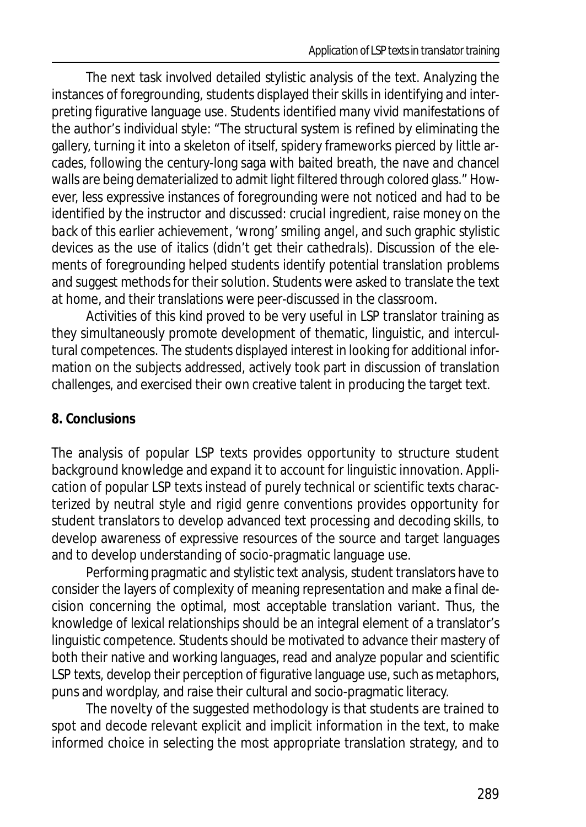The next task involved detailed stylistic analysis of the text. Analyzing the instances of foregrounding, students displayed their skills in identifying and interpreting figurative language use. Students identified many vivid manifestations of the author's individual style: "The structural system is refined by eliminating the gallery, turning it into a skeleton of itself, spidery frameworks pierced by little arcades, following the century-long saga with baited breath, the nave and chancel walls are being dematerialized to admit light filtered through colored glass." However, less expressive instances of foregrounding were not noticed and had to be identified by the instructor and discussed: *crucial ingredient*, *raise money on the back of this earlier achievement*, *'wrong' smiling angel*, and such graphic stylistic devices as the use of italics (didn't *get their cathedrals*). Discussion of the elements of foregrounding helped students identify potential translation problems and suggest methods for their solution. Students were asked to translate the text at home, and their translations were peer-discussed in the classroom.

Activities of this kind proved to be very useful in LSP translator training as they simultaneously promote development of thematic, linguistic, and intercultural competences. The students displayed interest in looking for additional information on the subjects addressed, actively took part in discussion of translation challenges, and exercised their own creative talent in producing the target text.

#### **8. Conclusions**

The analysis of popular LSP texts provides opportunity to structure student background knowledge and expand it to account for linguistic innovation. Application of popular LSP texts instead of purely technical or scientific texts characterized by neutral style and rigid genre conventions provides opportunity for student translators to develop advanced text processing and decoding skills, to develop awareness of expressive resources of the source and target languages and to develop understanding of socio-pragmatic language use.

Performing pragmatic and stylistic text analysis, student translators have to consider the layers of complexity of meaning representation and make a final decision concerning the optimal, most acceptable translation variant. Thus, the knowledge of lexical relationships should be an integral element of a translator's linguistic competence. Students should be motivated to advance their mastery of both their native and working languages, read and analyze popular and scientific LSP texts, develop their perception of figurative language use, such as metaphors, puns and wordplay, and raise their cultural and socio-pragmatic literacy.

The novelty of the suggested methodology is that students are trained to spot and decode relevant explicit and implicit information in the text, to make informed choice in selecting the most appropriate translation strategy, and to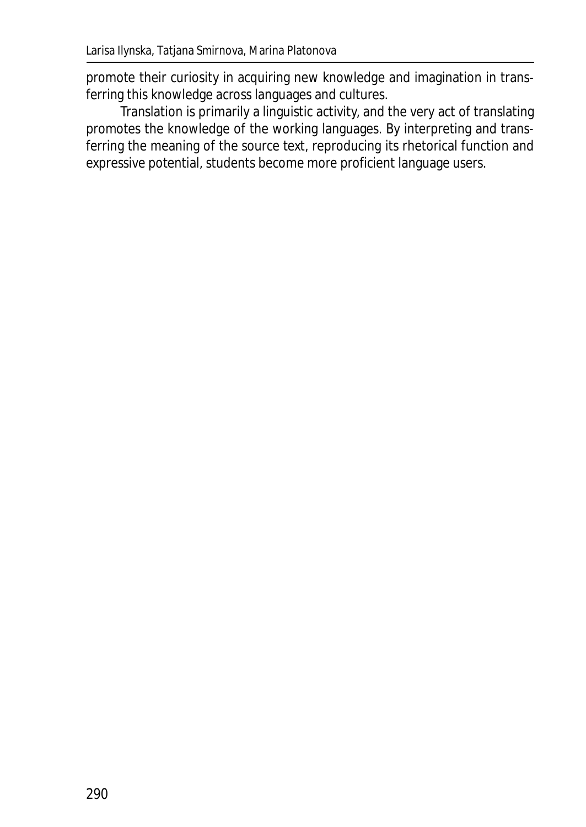promote their curiosity in acquiring new knowledge and imagination in transferring this knowledge across languages and cultures.

Translation is primarily a linguistic activity, and the very act of translating promotes the knowledge of the working languages. By interpreting and transferring the meaning of the source text, reproducing its rhetorical function and expressive potential, students become more proficient language users.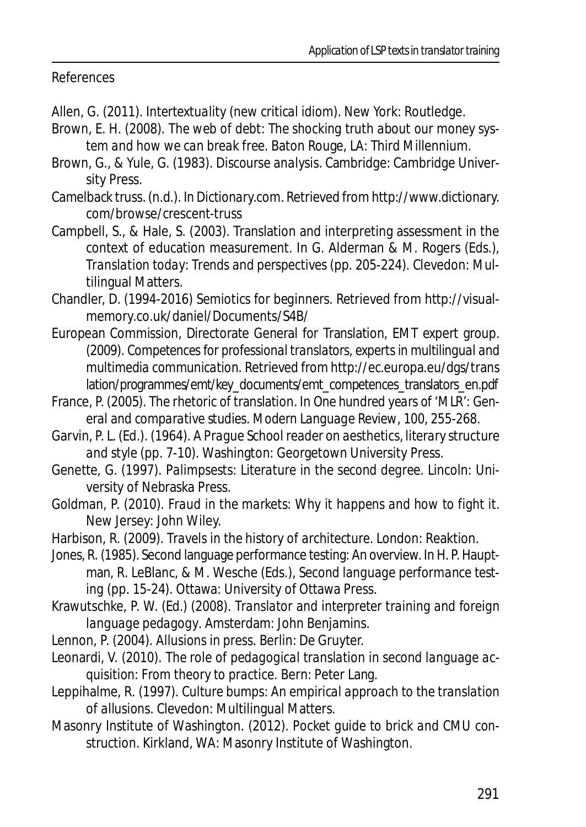References

Allen, G. (2011). *Intertextuality (new critical idiom)*. New York: Routledge.

- Brown, E. H. (2008). *The web of debt: The shocking truth about our money system and how we can break free*. Baton Rouge, LA: Third Millennium.
- Brown, G., & Yule, G. (1983). *Discourse analysis*. Cambridge: Cambridge University Press.
- Camelback truss. (n.d.). In *Dictionary.*com. Retrieved from http://www.dictionary. com/browse/crescent-truss
- Campbell, S., & Hale, S. (2003). Translation and interpreting assessment in the context of education measurement. In G. Alderman & M. Rogers (Eds.), *Translation today: Trends and perspectives* (pp. 205-224). Clevedon: Multilingual Matters.
- Chandler, D. (1994-2016) *Semiotics for beginners*. Retrieved from http://visualmemory.co.uk/daniel/Documents/S4B/
- European Commission, Directorate General for Translation, EMT expert group. (2009). *Competences for professional translators, experts in multilingual and multimedia communication.* Retrieved from http://ec.europa.eu/dgs/trans lation/programmes/emt/key\_documents/emt\_competences\_translators\_en.pdf
- France, P. (2005). The rhetoric of translation. In *One hundred years of 'MLR': General and comparative studies*. *Modern Language Review*, *100*, 255-268.
- Garvin, P. L. (Ed.). (1964). *A Prague School reader on aesthetics, literary structure and style* (pp. 7-10). Washington: Georgetown University Press.
- Genette, G. (1997). *Palimpsests: Literature in the second degree.* Lincoln: University of Nebraska Press.
- Goldman, P. (2010). *Fraud in the markets: Why it happens and how to fight it*. New Jersey: John Wiley.
- Harbison, R. (2009). *Travels in the history of architecture*. London: Reaktion.
- Jones, R. (1985). Second language performance testing: An overview. In H. P. Hauptman, R. LeBlanc, & M. Wesche (Eds.), *Second language performance testing* (pp. 15-24). Ottawa: University of Ottawa Press.
- Krawutschke, P. W. (Ed.) (2008). *Translator and interpreter training and foreign language pedagogy*. Amsterdam: John Benjamins.
- Lennon, P. (2004). *Allusions in press*. Berlin: De Gruyter.
- Leonardi, V. (2010). *The role of pedagogical translation in second language acquisition: From theory to practice.* Bern: Peter Lang.
- Leppihalme, R. (1997). *Culture bumps: An empirical approach to the translation of allusions*. Clevedon: Multilingual Matters.
- Masonry Institute of Washington. (2012). *Pocket guide to brick and CMU construction*. Kirkland, WA: Masonry Institute of Washington.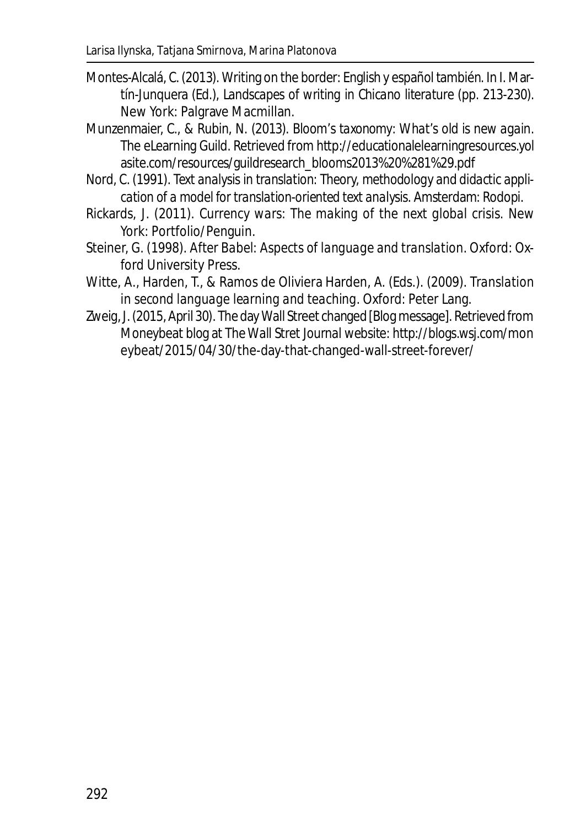- Montes-Alcalá, C. (2013). Writing on the border: English y español también. In I. Martín-Junquera (Ed.), *Landscapes of writing in Chicano literature* (pp. 213-230). New York: Palgrave Macmillan.
- Munzenmaier, C., & Rubin, N. (2013). *Bloom's taxonomy: What's old is new again*. The eLearning Guild. Retrieved from http://educationalelearningresources.yol asite.com/resources/guildresearch\_blooms2013%20%281%29.pdf
- Nord, C. (1991). *Text analysis in translation: Theory, methodology and didactic application of a model for translation-oriented text analysis*. Amsterdam: Rodopi.
- Rickards, J. (2011). *Currency wars: The making of the next global crisis*. New York: Portfolio/Penguin.
- Steiner, G. (1998). *After Babel: Aspects of language and translation*. Oxford: Oxford University Press.
- Witte, A., Harden, T., & Ramos de Oliviera Harden, A. (Eds.). (2009). *Translation in second language learning and teaching*. Oxford: Peter Lang.
- Zweig, J. (2015, April 30). The day Wall Street changed [Blog message]. Retrieved from Moneybeat blog at *The Wall Stret Journal* website: http://blogs.wsj.com/mon eybeat/2015/04/30/the-day-that-changed-wall-street-forever/